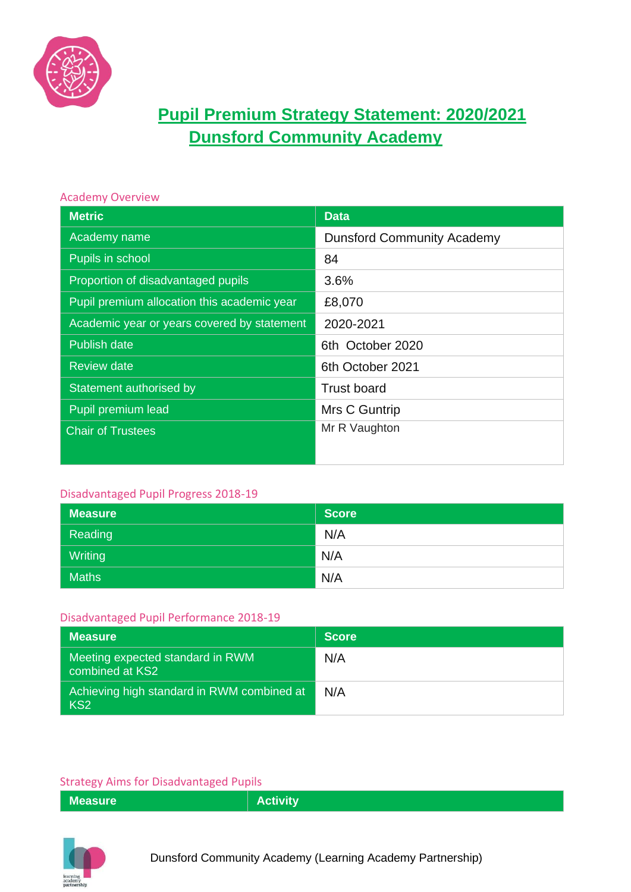

# **Pupil Premium Strategy Statement: 2020/2021 Dunsford Community Academy**

#### Academy Overview

| <b>Metric</b>                               | <b>Data</b>                       |
|---------------------------------------------|-----------------------------------|
| Academy name                                | <b>Dunsford Community Academy</b> |
| Pupils in school                            | 84                                |
| Proportion of disadvantaged pupils          | 3.6%                              |
| Pupil premium allocation this academic year | £8,070                            |
| Academic year or years covered by statement | 2020-2021                         |
| <b>Publish date</b>                         | 6th October 2020                  |
| <b>Review date</b>                          | 6th October 2021                  |
| Statement authorised by                     | <b>Trust board</b>                |
| Pupil premium lead                          | Mrs C Guntrip                     |
| <b>Chair of Trustees</b>                    | Mr R Vaughton                     |
|                                             |                                   |

### Disadvantaged Pupil Progress 2018-19

| <b>Measure</b> | <b>Score</b> |
|----------------|--------------|
| Reading        | N/A          |
| Writing        | N/A          |
| <b>Maths</b>   | N/A          |

#### Disadvantaged Pupil Performance 2018-19

| <b>Measure</b>                                                | <b>Score</b> |
|---------------------------------------------------------------|--------------|
| Meeting expected standard in RWM<br>combined at KS2           | N/A          |
| Achieving high standard in RWM combined at<br>KS <sub>2</sub> | N/A          |

#### Strategy Aims for Disadvantaged Pupils

| $\frac{1}{2}$ . The state of the state of the state of the state of the state of the state of the state of the state of the state of the state of the state of the state of the state of the state of the state of the state of t |                 |
|-----------------------------------------------------------------------------------------------------------------------------------------------------------------------------------------------------------------------------------|-----------------|
| <b>Measure</b>                                                                                                                                                                                                                    | <b>Activity</b> |
|                                                                                                                                                                                                                                   |                 |

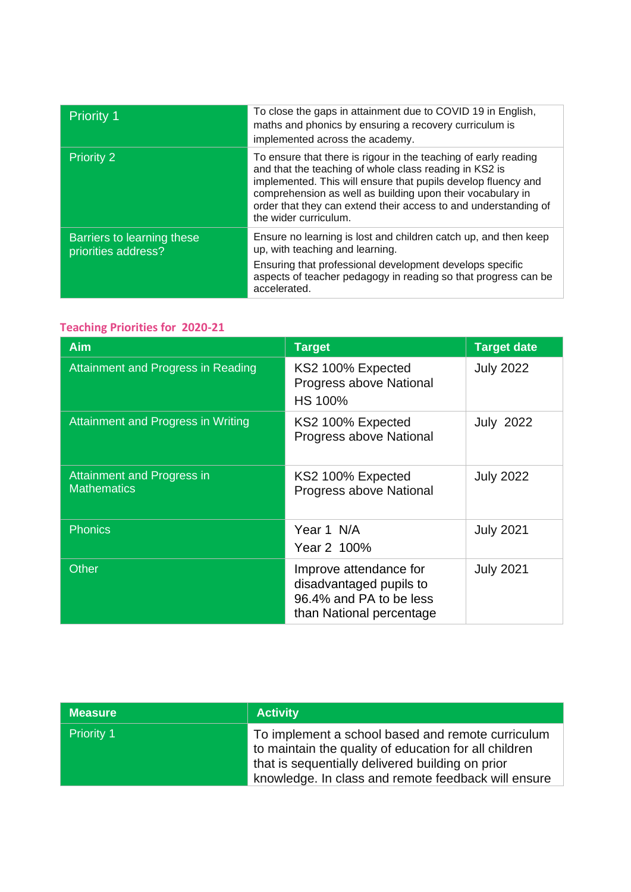| <b>Priority 1</b>                                 | To close the gaps in attainment due to COVID 19 in English,<br>maths and phonics by ensuring a recovery curriculum is<br>implemented across the academy.                                                                                                                                                                                             |
|---------------------------------------------------|------------------------------------------------------------------------------------------------------------------------------------------------------------------------------------------------------------------------------------------------------------------------------------------------------------------------------------------------------|
| <b>Priority 2</b>                                 | To ensure that there is rigour in the teaching of early reading<br>and that the teaching of whole class reading in KS2 is<br>implemented. This will ensure that pupils develop fluency and<br>comprehension as well as building upon their vocabulary in<br>order that they can extend their access to and understanding of<br>the wider curriculum. |
| Barriers to learning these<br>priorities address? | Ensure no learning is lost and children catch up, and then keep<br>up, with teaching and learning.<br>Ensuring that professional development develops specific<br>aspects of teacher pedagogy in reading so that progress can be<br>accelerated.                                                                                                     |

# **Teaching Priorities for 2020-21**

| <b>Aim</b>                                              | <b>Target</b>                                                                                            | <b>Target date</b> |
|---------------------------------------------------------|----------------------------------------------------------------------------------------------------------|--------------------|
| Attainment and Progress in Reading                      | KS2 100% Expected<br>Progress above National<br><b>HS 100%</b>                                           | <b>July 2022</b>   |
| Attainment and Progress in Writing                      | KS2 100% Expected<br>Progress above National                                                             | <b>July 2022</b>   |
| <b>Attainment and Progress in</b><br><b>Mathematics</b> | KS2 100% Expected<br>Progress above National                                                             | <b>July 2022</b>   |
| <b>Phonics</b>                                          | Year 1 N/A<br>Year 2 100%                                                                                | <b>July 2021</b>   |
| <b>Other</b>                                            | Improve attendance for<br>disadvantaged pupils to<br>96.4% and PA to be less<br>than National percentage | <b>July 2021</b>   |

| <b>Measure</b>    | <b>Activity</b>                                                                                                                                                                                                       |
|-------------------|-----------------------------------------------------------------------------------------------------------------------------------------------------------------------------------------------------------------------|
| <b>Priority 1</b> | To implement a school based and remote curriculum<br>to maintain the quality of education for all children<br>that is sequentially delivered building on prior<br>knowledge. In class and remote feedback will ensure |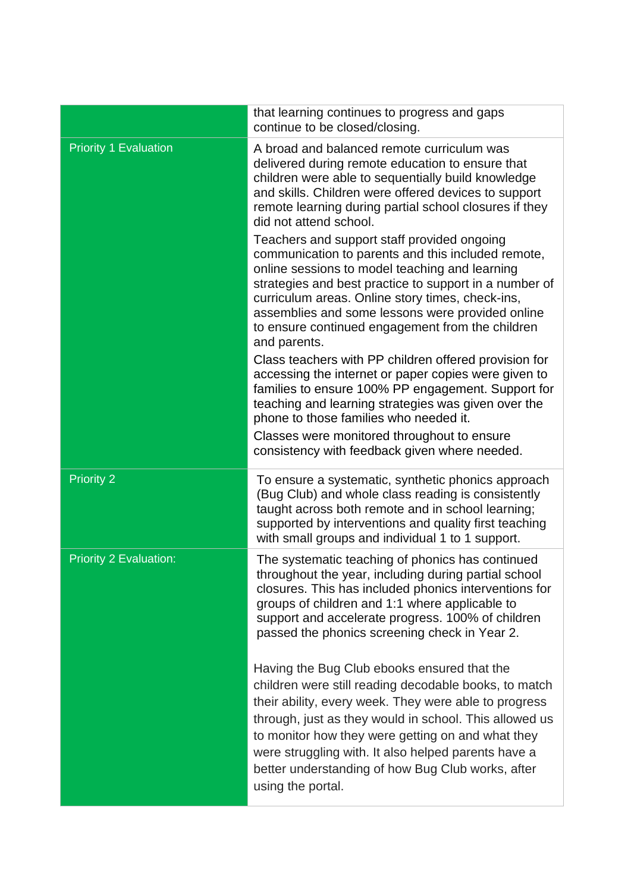|                               | that learning continues to progress and gaps<br>continue to be closed/closing.                                                                                                                                                                                                                                                                                                                                |
|-------------------------------|---------------------------------------------------------------------------------------------------------------------------------------------------------------------------------------------------------------------------------------------------------------------------------------------------------------------------------------------------------------------------------------------------------------|
| <b>Priority 1 Evaluation</b>  | A broad and balanced remote curriculum was<br>delivered during remote education to ensure that<br>children were able to sequentially build knowledge<br>and skills. Children were offered devices to support<br>remote learning during partial school closures if they<br>did not attend school.                                                                                                              |
|                               | Teachers and support staff provided ongoing<br>communication to parents and this included remote,<br>online sessions to model teaching and learning<br>strategies and best practice to support in a number of<br>curriculum areas. Online story times, check-ins,<br>assemblies and some lessons were provided online<br>to ensure continued engagement from the children<br>and parents.                     |
|                               | Class teachers with PP children offered provision for<br>accessing the internet or paper copies were given to<br>families to ensure 100% PP engagement. Support for<br>teaching and learning strategies was given over the<br>phone to those families who needed it.                                                                                                                                          |
|                               | Classes were monitored throughout to ensure<br>consistency with feedback given where needed.                                                                                                                                                                                                                                                                                                                  |
| <b>Priority 2</b>             | To ensure a systematic, synthetic phonics approach<br>(Bug Club) and whole class reading is consistently<br>taught across both remote and in school learning;<br>supported by interventions and quality first teaching<br>with small groups and individual 1 to 1 support.                                                                                                                                    |
| <b>Priority 2 Evaluation:</b> | The systematic teaching of phonics has continued<br>throughout the year, including during partial school<br>closures. This has included phonics interventions for<br>groups of children and 1:1 where applicable to<br>support and accelerate progress. 100% of children<br>passed the phonics screening check in Year 2.                                                                                     |
|                               | Having the Bug Club ebooks ensured that the<br>children were still reading decodable books, to match<br>their ability, every week. They were able to progress<br>through, just as they would in school. This allowed us<br>to monitor how they were getting on and what they<br>were struggling with. It also helped parents have a<br>better understanding of how Bug Club works, after<br>using the portal. |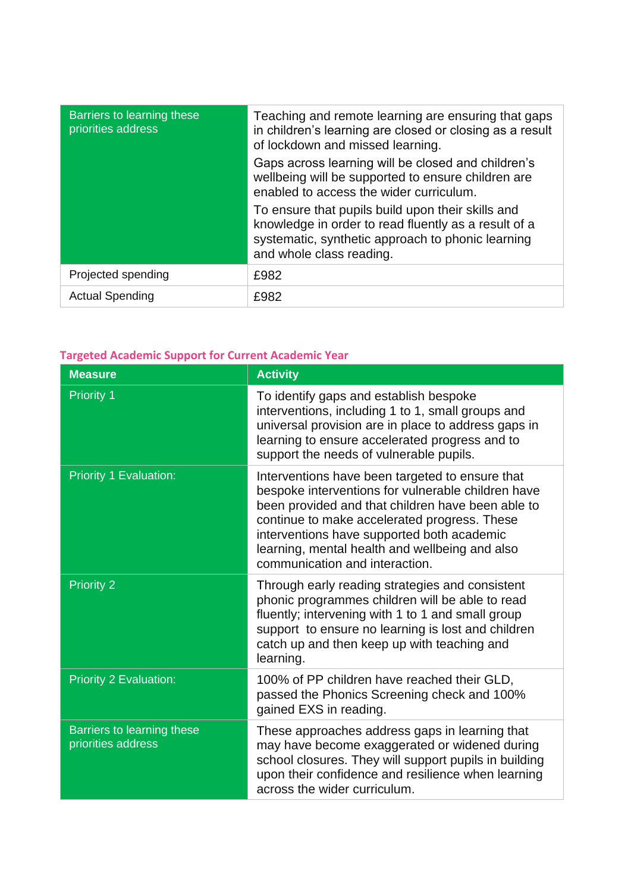| Barriers to learning these<br>priorities address | Teaching and remote learning are ensuring that gaps<br>in children's learning are closed or closing as a result<br>of lockdown and missed learning.                                        |
|--------------------------------------------------|--------------------------------------------------------------------------------------------------------------------------------------------------------------------------------------------|
|                                                  | Gaps across learning will be closed and children's<br>wellbeing will be supported to ensure children are<br>enabled to access the wider curriculum.                                        |
|                                                  | To ensure that pupils build upon their skills and<br>knowledge in order to read fluently as a result of a<br>systematic, synthetic approach to phonic learning<br>and whole class reading. |
| Projected spending                               | £982                                                                                                                                                                                       |
| <b>Actual Spending</b>                           | £982                                                                                                                                                                                       |

# **Targeted Academic Support for Current Academic Year**

| <b>Measure</b>                                   | <b>Activity</b>                                                                                                                                                                                                                                                                                                                              |
|--------------------------------------------------|----------------------------------------------------------------------------------------------------------------------------------------------------------------------------------------------------------------------------------------------------------------------------------------------------------------------------------------------|
| <b>Priority 1</b>                                | To identify gaps and establish bespoke<br>interventions, including 1 to 1, small groups and<br>universal provision are in place to address gaps in<br>learning to ensure accelerated progress and to<br>support the needs of vulnerable pupils.                                                                                              |
| <b>Priority 1 Evaluation:</b>                    | Interventions have been targeted to ensure that<br>bespoke interventions for vulnerable children have<br>been provided and that children have been able to<br>continue to make accelerated progress. These<br>interventions have supported both academic<br>learning, mental health and wellbeing and also<br>communication and interaction. |
| <b>Priority 2</b>                                | Through early reading strategies and consistent<br>phonic programmes children will be able to read<br>fluently; intervening with 1 to 1 and small group<br>support to ensure no learning is lost and children<br>catch up and then keep up with teaching and<br>learning.                                                                    |
| <b>Priority 2 Evaluation:</b>                    | 100% of PP children have reached their GLD,<br>passed the Phonics Screening check and 100%<br>gained EXS in reading.                                                                                                                                                                                                                         |
| Barriers to learning these<br>priorities address | These approaches address gaps in learning that<br>may have become exaggerated or widened during<br>school closures. They will support pupils in building<br>upon their confidence and resilience when learning<br>across the wider curriculum.                                                                                               |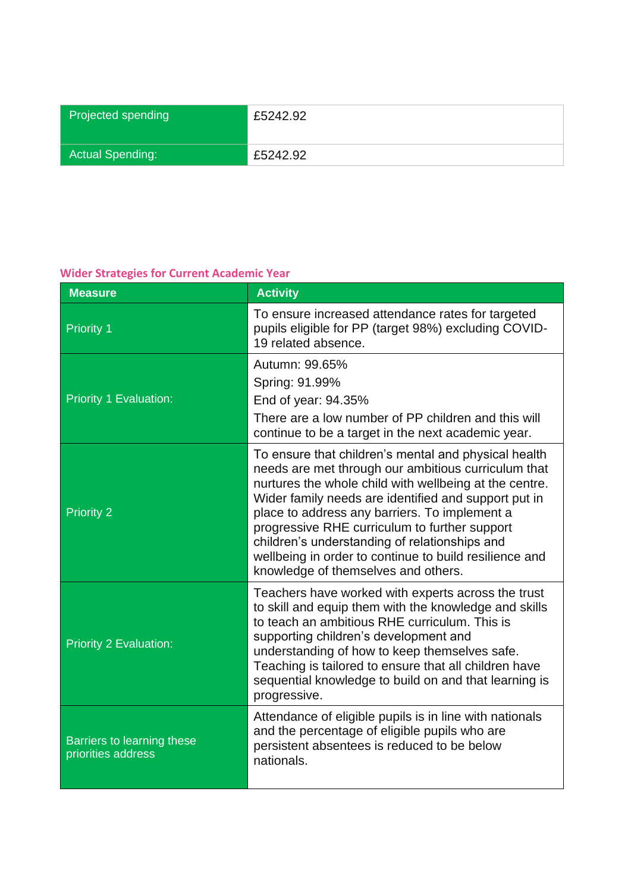| Projected spending      | £5242.92 |
|-------------------------|----------|
| <b>Actual Spending:</b> | £5242.92 |

### **Wider Strategies for Current Academic Year**

| <b>Measure</b>                                   | <b>Activity</b>                                                                                                                                                                                                                                                                                                                                                                                                                                                                   |
|--------------------------------------------------|-----------------------------------------------------------------------------------------------------------------------------------------------------------------------------------------------------------------------------------------------------------------------------------------------------------------------------------------------------------------------------------------------------------------------------------------------------------------------------------|
| <b>Priority 1</b>                                | To ensure increased attendance rates for targeted<br>pupils eligible for PP (target 98%) excluding COVID-<br>19 related absence.                                                                                                                                                                                                                                                                                                                                                  |
| <b>Priority 1 Evaluation:</b>                    | Autumn: 99.65%<br>Spring: 91.99%<br>End of year: 94.35%<br>There are a low number of PP children and this will<br>continue to be a target in the next academic year.                                                                                                                                                                                                                                                                                                              |
| <b>Priority 2</b>                                | To ensure that children's mental and physical health<br>needs are met through our ambitious curriculum that<br>nurtures the whole child with wellbeing at the centre.<br>Wider family needs are identified and support put in<br>place to address any barriers. To implement a<br>progressive RHE curriculum to further support<br>children's understanding of relationships and<br>wellbeing in order to continue to build resilience and<br>knowledge of themselves and others. |
| <b>Priority 2 Evaluation:</b>                    | Teachers have worked with experts across the trust<br>to skill and equip them with the knowledge and skills<br>to teach an ambitious RHE curriculum. This is<br>supporting children's development and<br>understanding of how to keep themselves safe.<br>Teaching is tailored to ensure that all children have<br>sequential knowledge to build on and that learning is<br>progressive.                                                                                          |
| Barriers to learning these<br>priorities address | Attendance of eligible pupils is in line with nationals<br>and the percentage of eligible pupils who are<br>persistent absentees is reduced to be below<br>nationals.                                                                                                                                                                                                                                                                                                             |